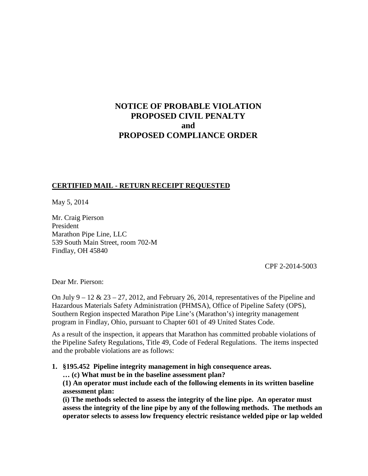# **NOTICE OF PROBABLE VIOLATION PROPOSED CIVIL PENALTY and PROPOSED COMPLIANCE ORDER**

# **CERTIFIED MAIL - RETURN RECEIPT REQUESTED**

May 5, 2014

Mr. Craig Pierson President Marathon Pipe Line, LLC 539 South Main Street, room 702-M Findlay, OH 45840

CPF 2-2014-5003

Dear Mr. Pierson:

On July  $9 - 12 \& 23 - 27$ , 2012, and February 26, 2014, representatives of the Pipeline and Hazardous Materials Safety Administration (PHMSA), Office of Pipeline Safety (OPS), Southern Region inspected Marathon Pipe Line's (Marathon's) integrity management program in Findlay, Ohio, pursuant to Chapter 601 of 49 United States Code.

As a result of the inspection, it appears that Marathon has committed probable violations of the Pipeline Safety Regulations, Title 49, Code of Federal Regulations. The items inspected and the probable violations are as follows:

**1. §195.452 Pipeline integrity management in high consequence areas. … (c) What must be in the baseline assessment plan?** 

**(1) An operator must include each of the following elements in its written baseline assessment plan:**

**(i) The methods selected to assess the integrity of the line pipe. An operator must assess the integrity of the line pipe by any of the following methods. The methods an operator selects to assess low frequency electric resistance welded pipe or lap welded**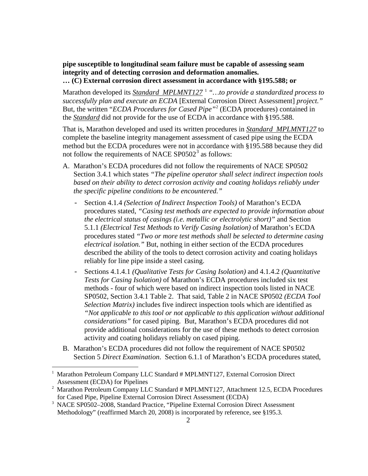**pipe susceptible to longitudinal seam failure must be capable of assessing seam integrity and of detecting corrosion and deformation anomalies. … (C) External corrosion direct assessment in accordance with §195.588; or** 

Marathon developed its *Standard MPLMNT127* <sup>1</sup> *"…to provide a standardized process to successfully plan and execute an ECDA* [External Corrosion Direct Assessment] *project."* But, the written "*ECDA Procedures for Cased Pipe"*<sup>2</sup> (ECDA procedures) contained in the *Standard* did not provide for the use of ECDA in accordance with §195.588.

That is, Marathon developed and used its written procedures in *Standard MPLMNT127* to complete the baseline integrity management assessment of cased pipe using the ECDA method but the ECDA procedures were not in accordance with §195.588 because they did not follow the requirements of NACE  $SP0502^3$  as follows:

- A. Marathon's ECDA procedures did not follow the requirements of NACE SP0502 Section 3.4.1 which states *"The pipeline operator shall select indirect inspection tools based on their ability to detect corrosion activity and coating holidays reliably under the specific pipeline conditions to be encountered."*
	- Section 4.1.4 *(Selection of Indirect Inspection Tools)* of Marathon's ECDA procedures stated, *"Casing test methods are expected to provide information about the electrical status of casings (i.e. metallic or electrolytic short)"* and Section 5.1.1 *(Electrical Test Methods to Verify Casing Isolation)* of Marathon's ECDA procedures stated *"Two or more test methods shall be selected to determine casing electrical isolation."* But, nothing in either section of the ECDA procedures described the ability of the tools to detect corrosion activity and coating holidays reliably for line pipe inside a steel casing.
	- Sections 4.1.4.1 *(Qualitative Tests for Casing Isolation)* and 4.1.4.2 *(Quantitative Tests for Casing Isolation)* of Marathon's ECDA procedures included six test methods - four of which were based on indirect inspection tools listed in NACE SP0502, Section 3.4.1 Table 2. That said, Table 2 in NACE SP0502 *(ECDA Tool Selection Matrix)* includes five indirect inspection tools which are identified as *"Not applicable to this tool or not applicable to this application without additional considerations"* for cased piping. But, Marathon's ECDA procedures did not provide additional considerations for the use of these methods to detect corrosion activity and coating holidays reliably on cased piping.
- B. Marathon's ECDA procedures did not follow the requirement of NACE SP0502 Section 5 *Direct Examination*. Section 6.1.1 of Marathon's ECDA procedures stated,

 $\overline{a}$ 

<sup>1</sup> Marathon Petroleum Company LLC Standard # MPLMNT127, External Corrosion Direct Assessment (ECDA) for Pipelines

<sup>&</sup>lt;sup>2</sup> Marathon Petroleum Company LLC Standard # MPLMNT127, Attachment 12.5, ECDA Procedures for Cased Pipe, Pipeline External Corrosion Direct Assessment (ECDA)

<sup>3</sup> NACE SP0502–2008, Standard Practice, "Pipeline External Corrosion Direct Assessment Methodology" (reaffirmed March 20, 2008) is incorporated by reference, see §195.3.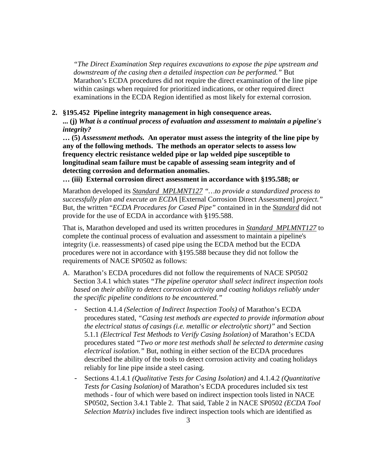*"The Direct Examination Step requires excavations to expose the pipe upstream and downstream of the casing then a detailed inspection can be performed."* But Marathon's ECDA procedures did not require the direct examination of the line pipe within casings when required for prioritized indications, or other required direct examinations in the ECDA Region identified as most likely for external corrosion.

#### **2. §195.452 Pipeline integrity management in high consequence areas.**

**... (j)** *What is a continual process of evaluation and assessment to maintain a pipeline's integrity?*

**… (5)** *Assessment methods.* **An operator must assess the integrity of the line pipe by any of the following methods. The methods an operator selects to assess low frequency electric resistance welded pipe or lap welded pipe susceptible to longitudinal seam failure must be capable of assessing seam integrity and of detecting corrosion and deformation anomalies.**

**… (iii) External corrosion direct assessment in accordance with §195.588; or**

Marathon developed its *Standard MPLMNT127 "…to provide a standardized process to successfully plan and execute an ECDA* [External Corrosion Direct Assessment] *project."* But, the written "*ECDA Procedures for Cased Pipe"* contained in in the *Standard* did not provide for the use of ECDA in accordance with §195.588.

That is, Marathon developed and used its written procedures in *Standard MPLMNT127* to complete the continual process of evaluation and assessment to maintain a pipeline's integrity (i.e. reassessments) of cased pipe using the ECDA method but the ECDA procedures were not in accordance with §195.588 because they did not follow the requirements of NACE SP0502 as follows:

- A. Marathon's ECDA procedures did not follow the requirements of NACE SP0502 Section 3.4.1 which states *"The pipeline operator shall select indirect inspection tools based on their ability to detect corrosion activity and coating holidays reliably under the specific pipeline conditions to be encountered."*
	- Section 4.1.4 *(Selection of Indirect Inspection Tools)* of Marathon's ECDA procedures stated, *"Casing test methods are expected to provide information about the electrical status of casings (i.e. metallic or electrolytic short)"* and Section 5.1.1 *(Electrical Test Methods to Verify Casing Isolation)* of Marathon's ECDA procedures stated *"Two or more test methods shall be selected to determine casing electrical isolation."* But, nothing in either section of the ECDA procedures described the ability of the tools to detect corrosion activity and coating holidays reliably for line pipe inside a steel casing.
	- Sections 4.1.4.1 *(Qualitative Tests for Casing Isolation)* and 4.1.4.2 *(Quantitative Tests for Casing Isolation)* of Marathon's ECDA procedures included six test methods - four of which were based on indirect inspection tools listed in NACE SP0502, Section 3.4.1 Table 2. That said, Table 2 in NACE SP0502 *(ECDA Tool Selection Matrix)* includes five indirect inspection tools which are identified as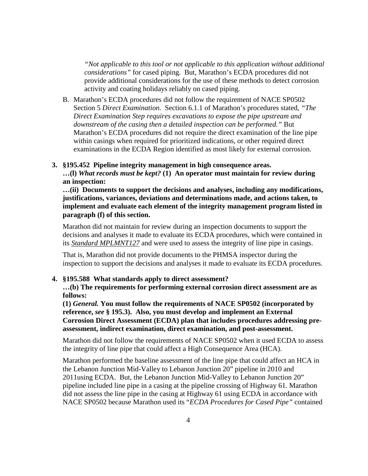*"Not applicable to this tool or not applicable to this application without additional considerations"* for cased piping. But, Marathon's ECDA procedures did not provide additional considerations for the use of these methods to detect corrosion activity and coating holidays reliably on cased piping.

B. Marathon's ECDA procedures did not follow the requirement of NACE SP0502 Section 5 *Direct Examination*. Section 6.1.1 of Marathon's procedures stated, *"The Direct Examination Step requires excavations to expose the pipe upstream and downstream of the casing then a detailed inspection can be performed."* But Marathon's ECDA procedures did not require the direct examination of the line pipe within casings when required for prioritized indications, or other required direct examinations in the ECDA Region identified as most likely for external corrosion.

## **3. §195.452 Pipeline integrity management in high consequence areas.**

**…(l)** *What records must be kept?* **(1) An operator must maintain for review during an inspection:**

**…(ii) Documents to support the decisions and analyses, including any modifications, justifications, variances, deviations and determinations made, and actions taken, to implement and evaluate each element of the integrity management program listed in paragraph (f) of this section.**

Marathon did not maintain for review during an inspection documents to support the decisions and analyses it made to evaluate its ECDA procedures, which were contained in its *Standard MPLMNT127* and were used to assess the integrity of line pipe in casings.

That is, Marathon did not provide documents to the PHMSA inspector during the inspection to support the decisions and analyses it made to evaluate its ECDA procedures.

## **4. §195.588 What standards apply to direct assessment?**

**…(b) The requirements for performing external corrosion direct assessment are as follows:**

**(1)** *General.* **You must follow the requirements of NACE SP0502 (incorporated by reference,** *see* **§ 195.3). Also, you must develop and implement an External Corrosion Direct Assessment (ECDA) plan that includes procedures addressing preassessment, indirect examination, direct examination, and post-assessment.**

Marathon did not follow the requirements of NACE SP0502 when it used ECDA to assess the integrity of line pipe that could affect a High Consequence Area (HCA).

Marathon performed the baseline assessment of the line pipe that could affect an HCA in the Lebanon Junction Mid-Valley to Lebanon Junction 20" pipeline in 2010 and 2011using ECDA. But, the Lebanon Junction Mid-Valley to Lebanon Junction 20" pipeline included line pipe in a casing at the pipeline crossing of Highway 61. Marathon did not assess the line pipe in the casing at Highway 61 using ECDA in accordance with NACE SP0502 because Marathon used its "*ECDA Procedures for Cased Pipe"* contained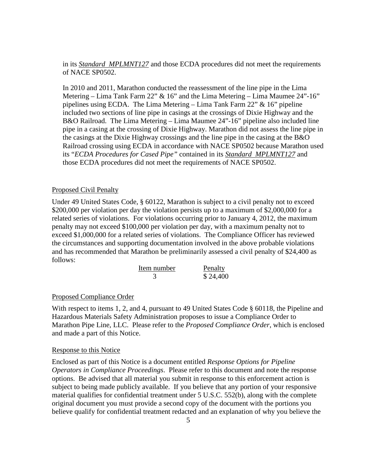in its *Standard MPLMNT127* and those ECDA procedures did not meet the requirements of NACE SP0502.

In 2010 and 2011, Marathon conducted the reassessment of the line pipe in the Lima Metering – Lima Tank Farm 22"  $& 16$ " and the Lima Metering – Lima Maumee 24"-16" pipelines using ECDA. The Lima Metering – Lima Tank Farm 22" & 16" pipeline included two sections of line pipe in casings at the crossings of Dixie Highway and the B&O Railroad. The Lima Metering – Lima Maumee 24"-16" pipeline also included line pipe in a casing at the crossing of Dixie Highway. Marathon did not assess the line pipe in the casings at the Dixie Highway crossings and the line pipe in the casing at the B&O Railroad crossing using ECDA in accordance with NACE SP0502 because Marathon used its "*ECDA Procedures for Cased Pipe"* contained in its *Standard MPLMNT127* and those ECDA procedures did not meet the requirements of NACE SP0502.

#### Proposed Civil Penalty

Under 49 United States Code, § 60122, Marathon is subject to a civil penalty not to exceed \$200,000 per violation per day the violation persists up to a maximum of \$2,000,000 for a related series of violations. For violations occurring prior to January 4, 2012, the maximum penalty may not exceed \$100,000 per violation per day, with a maximum penalty not to exceed \$1,000,000 for a related series of violations. The Compliance Officer has reviewed the circumstances and supporting documentation involved in the above probable violations and has recommended that Marathon be preliminarily assessed a civil penalty of \$24,400 as follows:

| Item number | Penalty  |
|-------------|----------|
|             | \$24,400 |

## Proposed Compliance Order

With respect to items 1, 2, and 4, pursuant to 49 United States Code § 60118, the Pipeline and Hazardous Materials Safety Administration proposes to issue a Compliance Order to Marathon Pipe Line, LLC. Please refer to the *Proposed Compliance Order*, which is enclosed and made a part of this Notice.

#### Response to this Notice

Enclosed as part of this Notice is a document entitled *Response Options for Pipeline Operators in Compliance Proceedings*. Please refer to this document and note the response options. Be advised that all material you submit in response to this enforcement action is subject to being made publicly available. If you believe that any portion of your responsive material qualifies for confidential treatment under 5 U.S.C. 552(b), along with the complete original document you must provide a second copy of the document with the portions you believe qualify for confidential treatment redacted and an explanation of why you believe the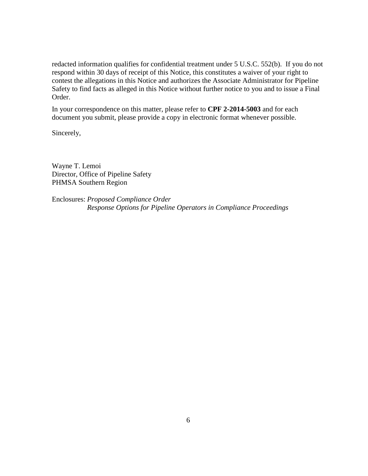redacted information qualifies for confidential treatment under 5 U.S.C. 552(b). If you do not respond within 30 days of receipt of this Notice, this constitutes a waiver of your right to contest the allegations in this Notice and authorizes the Associate Administrator for Pipeline Safety to find facts as alleged in this Notice without further notice to you and to issue a Final Order.

In your correspondence on this matter, please refer to **CPF 2-2014-5003** and for each document you submit, please provide a copy in electronic format whenever possible.

Sincerely,

Wayne T. Lemoi Director, Office of Pipeline Safety PHMSA Southern Region

Enclosures: *Proposed Compliance Order Response Options for Pipeline Operators in Compliance Proceedings*